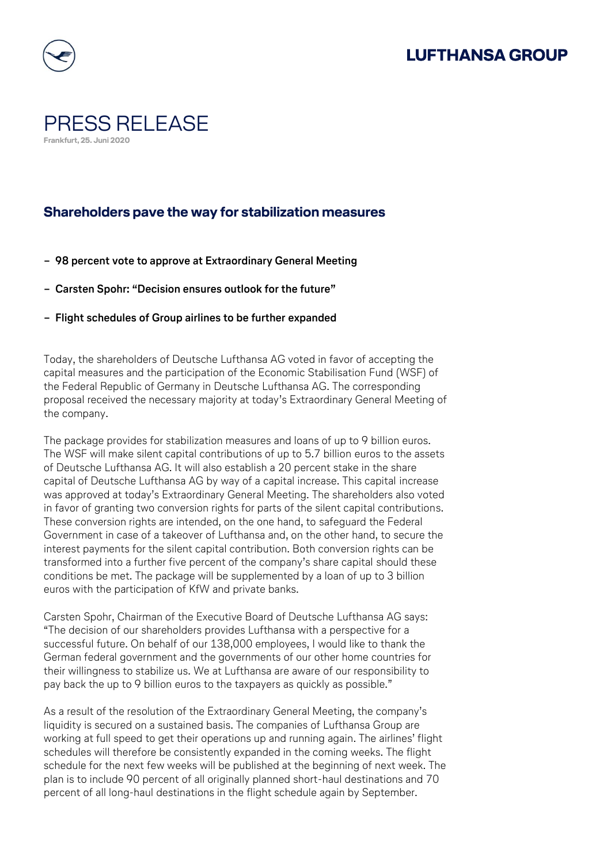## **LUFTHANSA GROUP**



## PRESS RELEASE **Frankfurt, 25. Juni 2020**

## **Shareholders pave the way for stabilization measures**

- **− 98 percent vote to approve at Extraordinary General Meeting**
- **− Carsten Spohr: "Decision ensures outlook for the future"**
- **− Flight schedules of Group airlines to be further expanded**

Today, the shareholders of Deutsche Lufthansa AG voted in favor of accepting the capital measures and the participation of the Economic Stabilisation Fund (WSF) of the Federal Republic of Germany in Deutsche Lufthansa AG. The corresponding proposal received the necessary majority at today's Extraordinary General Meeting of the company.

The package provides for stabilization measures and loans of up to 9 billion euros. The WSF will make silent capital contributions of up to 5.7 billion euros to the assets of Deutsche Lufthansa AG. It will also establish a 20 percent stake in the share capital of Deutsche Lufthansa AG by way of a capital increase. This capital increase was approved at today's Extraordinary General Meeting. The shareholders also voted in favor of granting two conversion rights for parts of the silent capital contributions. These conversion rights are intended, on the one hand, to safeguard the Federal Government in case of a takeover of Lufthansa and, on the other hand, to secure the interest payments for the silent capital contribution. Both conversion rights can be transformed into a further five percent of the company's share capital should these conditions be met. The package will be supplemented by a loan of up to 3 billion euros with the participation of KfW and private banks.

Carsten Spohr, Chairman of the Executive Board of Deutsche Lufthansa AG says: "The decision of our shareholders provides Lufthansa with a perspective for a successful future. On behalf of our 138,000 employees, I would like to thank the German federal government and the governments of our other home countries for their willingness to stabilize us. We at Lufthansa are aware of our responsibility to pay back the up to 9 billion euros to the taxpayers as quickly as possible."

As a result of the resolution of the Extraordinary General Meeting, the company's liquidity is secured on a sustained basis. The companies of Lufthansa Group are working at full speed to get their operations up and running again. The airlines' flight schedules will therefore be consistently expanded in the coming weeks. The flight schedule for the next few weeks will be published at the beginning of next week. The plan is to include 90 percent of all originally planned short-haul destinations and 70 percent of all long-haul destinations in the flight schedule again by September.